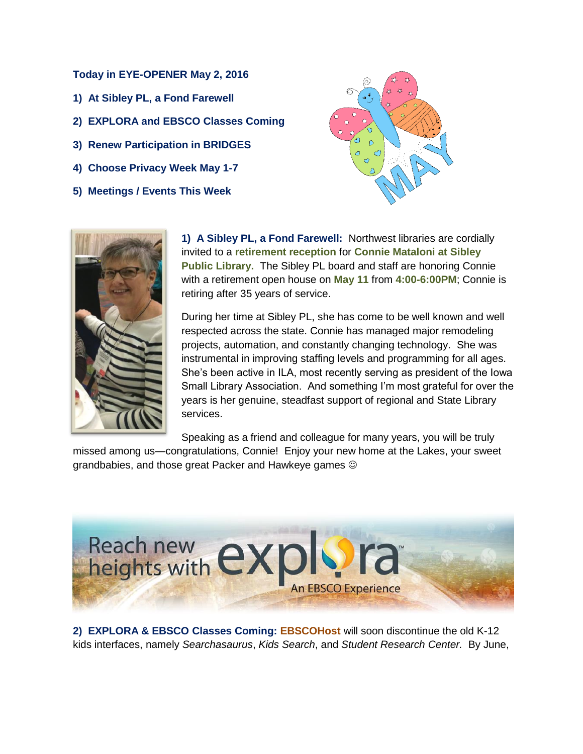## **Today in EYE-OPENER May 2, 2016**

- **1) At Sibley PL, a Fond Farewell**
- **2) EXPLORA and EBSCO Classes Coming**
- **3) Renew Participation in BRIDGES**
- **4) Choose Privacy Week May 1-7**
- **5) Meetings / Events This Week**





**1) A Sibley PL, a Fond Farewell:** Northwest libraries are cordially invited to a **retirement reception** for **Connie Mataloni at Sibley Public Library.** The Sibley PL board and staff are honoring Connie with a retirement open house on **May 11** from **4:00-6:00PM**; Connie is retiring after 35 years of service.

During her time at Sibley PL, she has come to be well known and well respected across the state. Connie has managed major remodeling projects, automation, and constantly changing technology. She was instrumental in improving staffing levels and programming for all ages. She's been active in ILA, most recently serving as president of the Iowa Small Library Association. And something I'm most grateful for over the years is her genuine, steadfast support of regional and State Library services.

Speaking as a friend and colleague for many years, you will be truly

missed among us—congratulations, Connie! Enjoy your new home at the Lakes, your sweet grandbabies, and those great Packer and Hawkeye games



**2) EXPLORA & EBSCO Classes Coming: EBSCOHost** will soon discontinue the old K-12 kids interfaces, namely *Searchasaurus*, *Kids Search*, and *Student Research Center.* By June,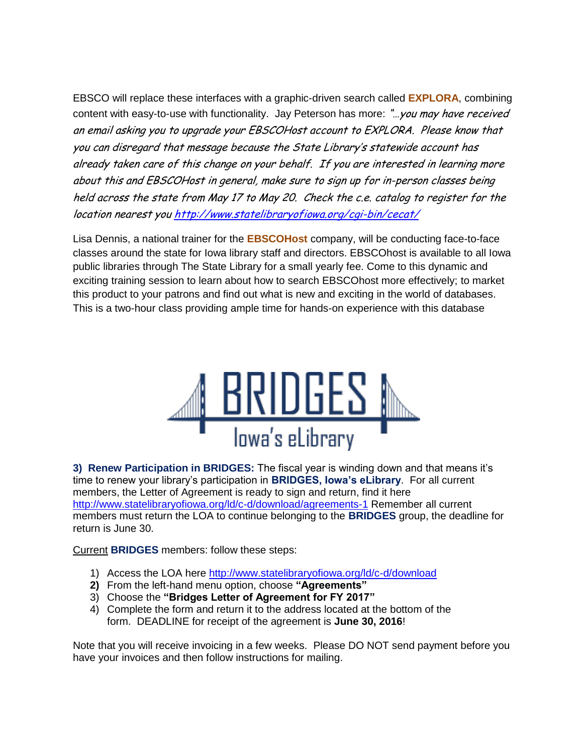EBSCO will replace these interfaces with a graphic-driven search called **EXPLORA**, combining content with easy-to-use with functionality. Jay Peterson has more: "...you may have received an email asking you to upgrade your EBSCOHost account to EXPLORA. Please know that you can disregard that message because the State Library's statewide account ha<sup>s</sup> already taken care of this change on your behalf. If you are interested in learning more about this and EBSCOHost in general, make sure to sign up for in-person classes being held across the state from May 17 to May 20. Check the c.e. catalog to register for the location nearest yo[u http://www.statelibraryofiowa.org/cgi-bin/cecat/](http://www.statelibraryofiowa.org/cgi-bin/cecat/)

Lisa Dennis, a national trainer for the **EBSCOHost** company, will be conducting face-to-face classes around the state for Iowa library staff and directors. EBSCOhost is available to all Iowa public libraries through The State Library for a small yearly fee. Come to this dynamic and exciting training session to learn about how to search EBSCOhost more effectively; to market this product to your patrons and find out what is new and exciting in the world of databases. This is a two-hour class providing ample time for hands-on experience with this database



**3) Renew Participation in BRIDGES:** The fiscal year is winding down and that means it's time to renew your library's participation in **BRIDGES, Iowa's eLibrary**. For all current members, the Letter of Agreement is ready to sign and return, find it here <http://www.statelibraryofiowa.org/ld/c-d/download/agreements-1> Remember all current members must return the LOA to continue belonging to the **BRIDGES** group, the deadline for return is June 30.

Current **BRIDGES** members: follow these steps:

- 1) Access the LOA here<http://www.statelibraryofiowa.org/ld/c-d/download>
- **2)** From the left-hand menu option, choose **"Agreements"**
- 3) Choose the **"Bridges Letter of Agreement for FY 2017"**
- 4) Complete the form and return it to the address located at the bottom of the form. DEADLINE for receipt of the agreement is **June 30, 2016**!

Note that you will receive invoicing in a few weeks. Please DO NOT send payment before you have your invoices and then follow instructions for mailing.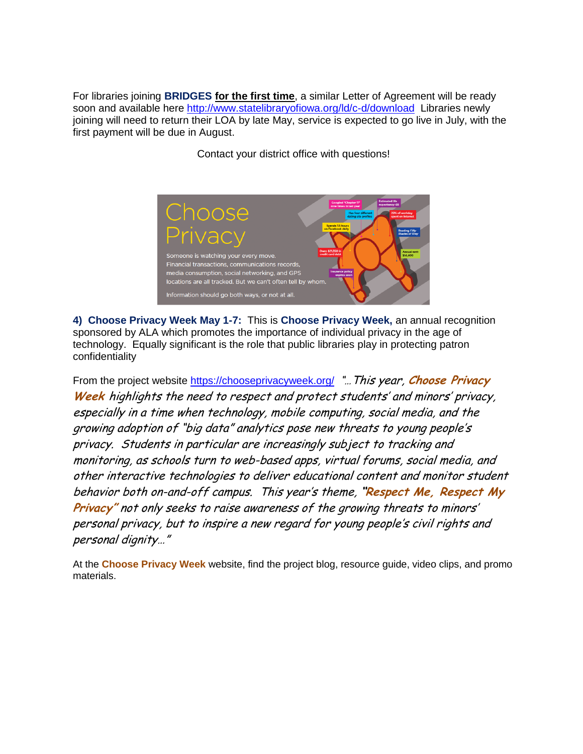For libraries joining **BRIDGES for the first time**, a similar Letter of Agreement will be ready soon and available here<http://www.statelibraryofiowa.org/ld/c-d/download>Libraries newly joining will need to return their LOA by late May, service is expected to go live in July, with the first payment will be due in August.

Contact your district office with questions!



**4) Choose Privacy Week May 1-7:** This is **Choose Privacy Week,** an annual recognition sponsored by ALA which promotes the importance of individual privacy in the age of technology. Equally significant is the role that public libraries play in protecting patron confidentiality

From the project website<https://chooseprivacyweek.org/> "…This year, **Choose Privacy Week** highlights the need to respect and protect students' and minors' privacy, especially in a time when technology, mobile computing, social media, and the growing adoption of "big data" analytics pose new threats to young people's privacy. Students in particular are increasingly subject to tracking and monitoring, as schools turn to web-based apps, virtual forums, social media, and other interactive technologies to deliver educational content and monitor student behavior both on-and-off campus. This year's theme, **"Respect Me, Respect My Privacy"** not only seeks to raise awareness of the growing threats to minors' personal privacy, but to inspire a new regard for young people's civil rights and personal dignity…"

At the **Choose Privacy Week** website, find the project blog, resource guide, video clips, and promo materials.